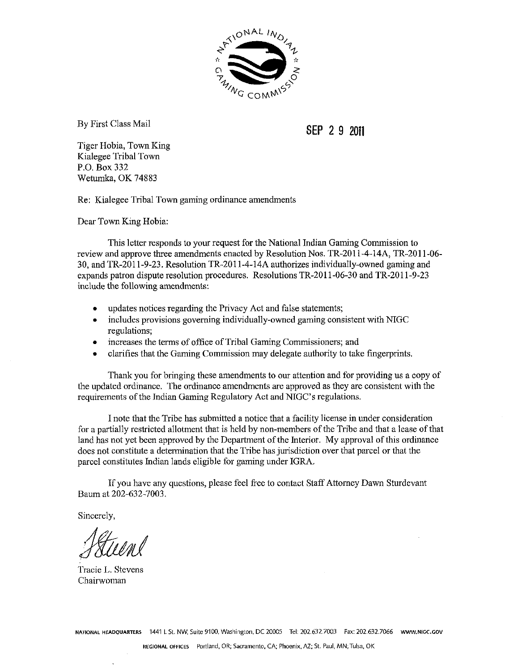

By First Class Mail

**SEP** 2 **9 2011** 

Tiger Hobia, Town King Kialegee Tribal Town P.O. Box 332 Wetumka, OK 74883

Re: Kialegee Tribal Town gaming ordinance amendments

Dear Town King Hobia:

This letter responds to your request for the National Indian Gaming Commission to review and approve three amendments enacted by Resolution Nos. TR-2011-4-14A, TR-2011-06-30, and TR-2011-9-23. Resolution TR-2011-4-14A authorizes individually-owned gaming and expands patron dispute resolution procedures. Resolutions TR-2011-06-30 and TR-2011-9-23 include the following amendments:

- updates notices regarding the Privacy Act and false statements;  $\bullet$
- includes provisions governing individually-owned gaming consistent with NIGC regulations;
- increases the terms of office of Tribal Gaming Commissioners; and
- clarifies that the Gaming Commission may delegate authority to take fingerprints.  $\bullet$

Thank you for bringing these amendments to our attention and for providing us a copy of the updated ordinance. The ordinance amendments are approved as they are consistent with the requirements of the Indian Gaming Regulatory Act and NIGC's regulations.

I note that the Tribe bas submitted a notice that a facility license in under consideration for a partially restricted allotment that is held by non-members of the Tribe and that a lease of that land has not yet been approved by the Department of the Interior. My approval of this ordinance does not constitute a determination that the Tribe has jurisdiction over that parcel or that the parcel constitutes Indian lands eligible for gaming under IGRA.

If you have any questions, please feel free to contact Staff Attorney Dawn Sturdevant Baum at 202-632-7003.

Sincerely,

Tracie L. Stevens Chairwoman

**NATIONAL HEADQUARTERS** 1441 L St. NW, Suite 9100. Washington, DC 20005 **Tel:** 202632,7003 Fax: 202632.7066 **WWW.NIGC.GOV**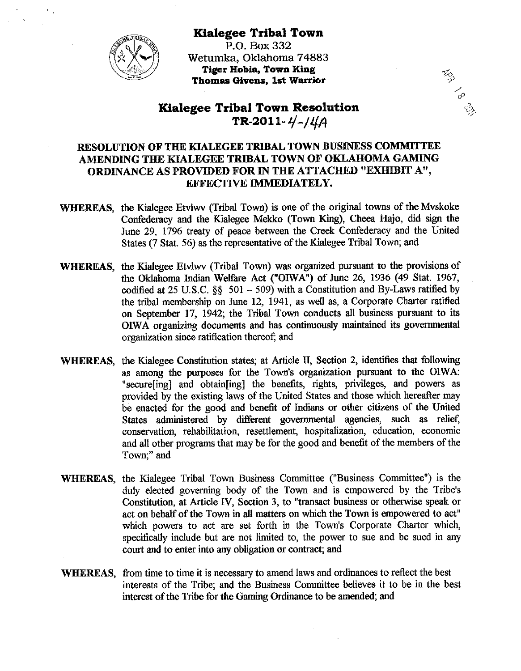

**Kialegee Tribal Town P.O.** Box 332 Wetumka, Oklahoma 74883 **Tiger Hobia, Town King Thomas Givens, 1st Warrior 3)** 

# **Kialegee Tribal Town Resolution** TR-2011-4-14A

 $\mathcal{L}_{\mathcal{P}}$ 

# **RESOLUTION OF THE KIALEGEE TRIBAL TOWN BUSINESS COMMITTEE AMENDING THE KIALEGEE TRIBAL TOWN OF OKLAHOMA GAMING ORDINANCE AS PROVIDED FOR IN THE ATTACHED "EXHIBIT A", EFFECTIVE IMMEDIATELY.**

- **WHEREAS**, the Kialegee Etvlwv (Tribal Town) is one of the original towns of the Mvskoke Confederacy and the Kialegee Mekko (Town King), Cheea Hajo, did sign the June 29, 1796 treaty of peace between the Creek Confederacy and the United States (7 Stat. 56) as the representative of the Kialegee Tribal Town; and
- **WHEREAS,** the Kialegee Etvlwv (Tribal Town) was organized pursuant to the provisions of the Oklahoma Indian Welfare Act ("OIWA") of June 26, 1936 (49 Stat. 1967, codified at  $25$  U.S.C.  $\S$  $\S$   $501 - 509$ ) with a Constitution and By-Laws ratified by the tribal membership on June 12, 1941, as well as, a Corporate Charter ratified on September 17, 1942; the Tribal Town conducts all business pursuant to its OIWA organizing documents and has continuously maintained its governmental organization since ratification thereof; and
- **WHEREAS,** the Kialegee Constitution states; at Article **II,** Section 2, identifies that following as among the purposes for the Town's organization pursuant to the OIWA: "secure[ing] and obtain[ing] the benefits, rights, privileges, and powers as provided by the existing laws of the United States and those which hereafter may be enacted for the good and benefit of Indians or other citizens of the United States administered by different governmental agencies, such as relief, conservation, rehabilitation, resettlement, hospitalization, education, economic and all other programs that may be for the good and benefit of the members of the Town:" and
- **WHEREAS,** the Kialegee Tribal Town Business Committee ("Business Committee") is the duly elected governing body of the Town and is empowered by the Tribe's Constitution, at Article IV, Section 3, to "transact business or otherwise speak or act on behalf of the Town in all matters on which the Town is empowered to act" which powers to act are set forth in the Town's Corporate Charter which, specifically include but are not limited to, the power to sue and be sued in any court and to enter into any obligation or contract; and
- WHEREAS, from time to time it is necessary to amend laws and ordinances to reflect the best interests of the Tribe; and the Business Committee believes it to be in the best interest of the Tribe for the Gaming Ordinance to be amended; and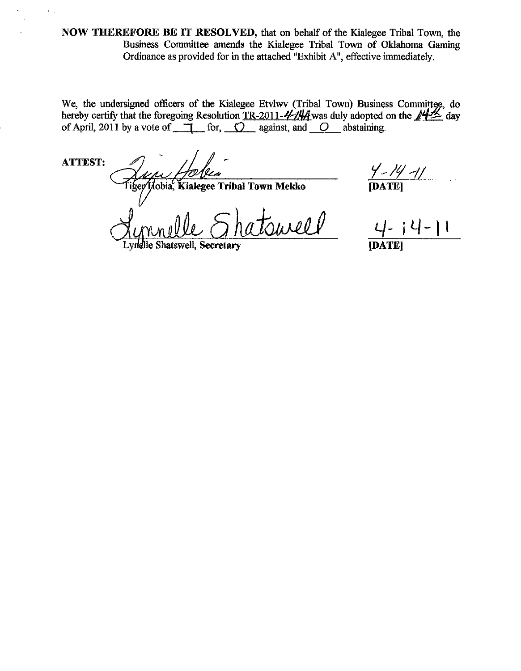NOW THEREFORE BE IT RESOLVED, that on behalf of the Kialegee Tribal Town, the Business Committee amends the Kialegee Tribal Town of Oklahoma Gaming Ordinance as provided for in the attached "Exhibit A", effective immediately.

We, the undersigned officers of the Kialegee Etvlwv (Tribal Town) Business Committee, do hereby certify that the foregoing Resolution TR-2011- $\frac{1}{4}$ // $\frac{1}{4}$  was duly adopted on the  $\frac{1}{4}$  day of April, 2011 by a vote of  $\Box$  for,  $\bigcirc$  against, and  $\bigcirc$  abstaining.

**ATTEST:** 

 $\mathbf{r}_{\mathrm{max}}$ 

Hobia, Kialegee Tribal Town Mekko

jurell

*Y ~ }4 -||*<br>|Date|

Lyndlle Shatswell. Secretary

**IDATEI**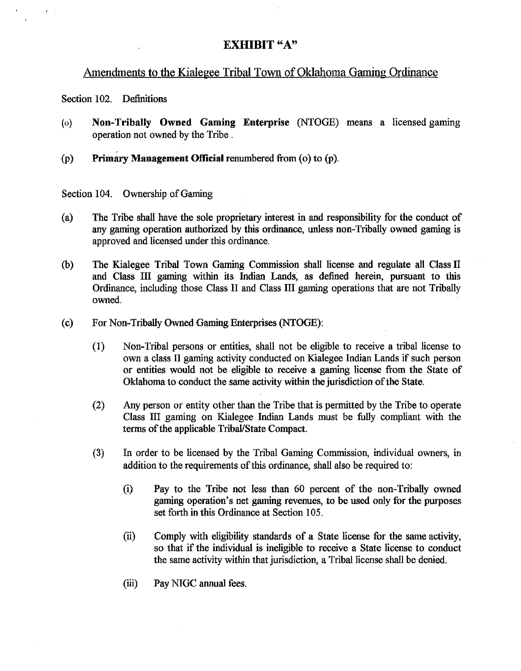# **EXHIBIT "A"**

# Amendments to the Kialegee Tribal Town of Oklahoma Gaming Ordinance

Section 102. Definitions

- **(0)** Non-Tribally Owned Gaming Enterprise (NTOGE) means a licensed gaming operation not owned by the Tribe.
- $(p)$  **Primary Management Official renumbered from (0) to (p).**

Section 104. Ownership of Gaming

- (a) The Tribe shall have the sole proprietary interest in and responsibility for the conduct of any gaming operation authorized by this ordinance, unless non-Tribally owned gaming is approved and licensed under this ordinance.
- (b) The Kialegee Tribal Town Gaming Commission shall license and regulate all Class II and Class 111 gaming within its Indian Lands, as defined herein, pursuant to this Ordinance, including those Class I1 and Class I11 gaming operations that are not Tribally owned.
- (c) For Non-Tribally Owned Gaming Enterprises (NTOGE):
	- (1) Non-Tribal persons or entities, shall not be eligible to receive a tribal license to own a class II gaming activity conducted on Kialegee Indian Lands if such person or entities would not be eligible to receive a gaming license from the State of Oklahoma to conduct the same activity within the jurisdiction of the State.
	- (2) Any person or entity other than the Tribe that is permitted by the Tribe to operate Class 111 gaming on Kialegee Indian Lands must be fully compliant with the terms of the applicable Tribal/State Compact.
	- **(3)** In order to be licensed by the Tribal Gaming Commission, individual owners, in addition to the requirements of this ordinance, shall also be required to:
		- (i) Pay to the Tribe not less than 60 percent of the non-Tribally owned gaming operation's net gaming revenues, to be used only for the purposes set forth in this Ordinance at Section 105.
		- (ii) Comply with eligibility standards of a State license for the same activity, so that if the individual is ineligible to receive a State license to conduct the same activity within that jurisdiction, a Tribal license shall be denied.
		- (iii) Pay NIGC annual fees.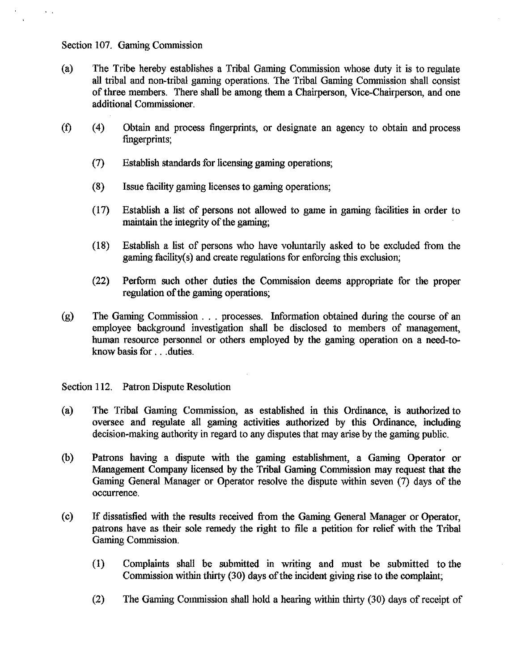### Section 107. Gaming Commission

- (a) The Tribe hereby establishes a Tribal Gaming Commission whose duty it is to regulate all tribal and non-tribal gaming operations. The Tribal Gaming Commission shall consist of three members. There shall be among them a Chairperson, Vice-Chairperson, and one additional Commissioner.
- (0 **(4)** Obtain and process fingerprints, or designate an agency to obtain and process fingerprints;
	- (7) Establish standards for licensing gaming operations;
	- (8) Issue facility gaming licenses to gaming operations;
	- (17) Establish a list of persons not allowed to game in gaming facilities in order to maintain the integrity of the gaming;
	- $(18)$  Establish a list of persons who have voluntarily asked to be excluded from the gaming facility(s) and create regulations for enforcing this exclusion;
	- (22) Perform such other duties the Commission deems appropriate for the proper regulation of the gaming operations;
- (g) The Gaming Commission . . . processes. Information obtained during the course of an employee background investigation shall be disclosed to members of management, human resource personnel or others employed by the gaming operation on a need-toknow basis for . . .duties.

Section 112. Patron Dispute Resolution

- (a) The Tribal Gaming Commission, as established in this Ordinance, is authorized to oversee and regulate all gaming activities authorized by this Ordinance, including decision-making authority in regard to any disputes that may arise by the gaming public.
- (b) Patrons having a dispute with the gaming establishment, a Gaming Operator or Management Company licensed by the Tribal Gaming Commission may request that the Gaming General Manager or Operator resolve the dispute within seven (7) days of the occurrence.
- (c) If dissatisfied with the results received from the Gaming General Manager or Operator, patrons have as their sole remedy the right to file a petition for relief with the Tribal Gaming Commission.
	- (1) Complaints shall be submitted in writing and must be submitted to the Commission within thirty (30) days of the incident giving rise to the complaint;
	- (2) The Gaming Commission shall hold a hearing within thirty (30) days of receipt of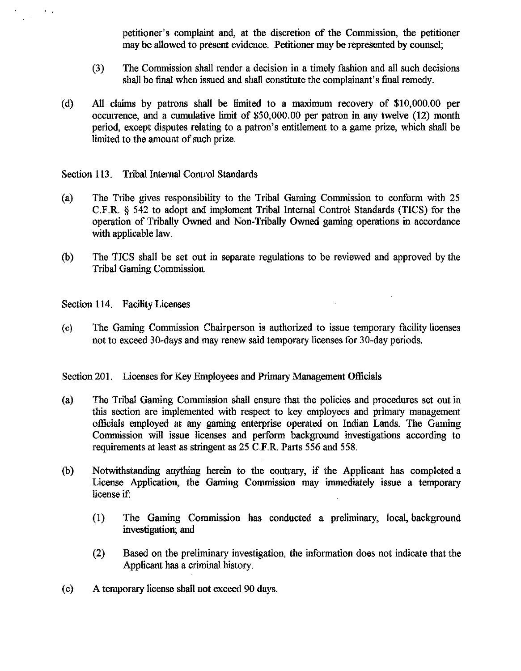petitioner's complaint and, at the discretion of the Commission, the petitioner may be allowed to present evidence. Petitioner may be represented by counsel;

- (3) The Commission shall render a decision in a timely fashion and all such decisions shall be final when issued and shall constitute the complainant's final remedy.
- (d) *All* claims by patrons shall be limited to a maximum recovery of \$10,000.00 per occurrence, and a cumulative limit of \$50,000.00 per patron in any twelve (12) month period, except disputes relating to a patron's entitlement to a game prize, which shall be limited to the amount of such prize.

Section 113. Tribal Internal Control Standards

- (a) The Tribe gives responsibility to the Tribal Gaming Commission to conform with 25 C.F.R. **3** 542 to adopt and implement Tribal Internal Control Standards (TICS) for the operation of Tribally Owned and Non-Tribally Qwned gaming operations in accordance with applicable law.
- (b) 'The TICS shall be set out in separate regulations to be reviewed and approved by the Tribal Gaming Commission.

Section 114. Facility Licenses

 $\sqrt{2}$ 

**(c)** The Gaming Commission Chairperson is authorized to issue temporary facility licenses not to exceed 30-days and may renew said temporary licenses for 30-day periods.

Section 201. Licenses for Key Employees and Primary Management Officials

- (a) The Tribal Gaming Commission shall ensure that the policies and procedures set out in this section are implemented with respect to key employees and primary management officials employed at any gaming enterprise operated on Indian Lands. The Gaming Commission will issue licenses and perform background investigations according to requirements at least as stringent as 25 C.F.R. Parts 556 and 558.
- (b) Notwithstanding anything herein to the contrary, if the Applicant has completed a License Application, the Gaming Commission may immediately issue a temporary license if
	- (1) The Gaming Commission has conducted a preliminary, local, background investigation; and
	- *(2)* Based on the preliminary investigation, the information does not indicate that the Applicant has a criminal history.
- (c) A temporary license shall not exceed 90 days.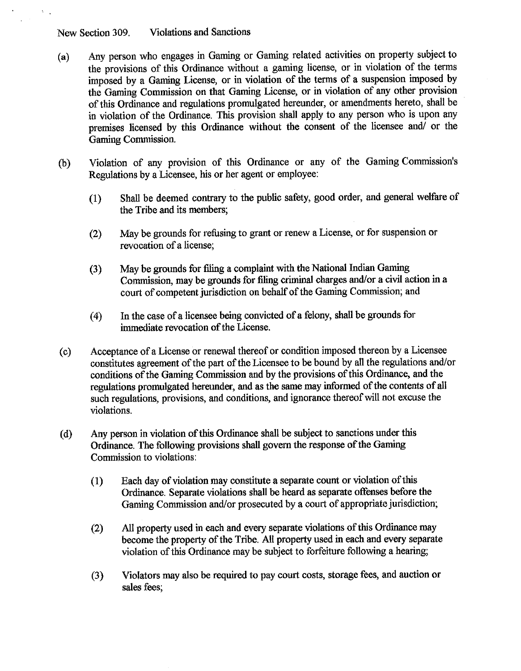New Section **309.** Violations and Sanctions

- **(a)** Any person who engages in Gaming or Gaming related activities on property subject to the provisions of this Ordinance without a gaming license, or in violation of the terms imposed by a Gaming License, or in violation **of** the terms of a suspension imposed by the Gaming Commission on that Gaming License, or in violation of any other provision of this Ordinance and regulations promulgated hereunder, or amendments hereto, shall be in violation of the Ordinance. This provision shall apply to any person who is upon any premises licensed by this Ordinance without the consent of the licensee and/ or the Gaming Commission.
- (b) Violation of any provision of this Ordinance or any of the Gaming Commission's Regulations by a Licensee, his or her agent or employee:
	- (1) Shall be deemed contrary to the public safety, good order, and general welfare of the Tribe and its members;
	- (2) May be grounds for rehsing to grant or renew a License, or for suspension or revocation of a license;
	- **(3)** May be grounds for filing a complaint with the National Indian Gaming Commission, may be grounds for filing criminal charges and/or a civil action in a court of competent jurisdiction on behalf of the Gaming Commission; and
	- (4) In the case of a licensee being convicted of a felony, shall be grounds for immediate revocation of the License.
- (c) Acceptance of a License or renewal thereof or condition imposed thereon by a Licensee constitutes agreement of the part of the Licensee to be bound by all the regulations and/or conditions of the Gaming Commission and by the provisions of this Ordinance, and the regulations promulgated hereunder, and as the same may informed of the contents of all such regulations, provisions, and conditions, and ignorance thereof will not excuse the violations.
- (d) Any person in violation of this Ordinance shall be subject to sanctions under this Ordmance. The following provisions shall govern the response of the Gaming Commission to violations:
	- **(1)** Each day of violation may constitute a separate count or violation of this Ordinance. Separate violations shall be heard as separate offenses before the Gaming Commission and/or prosecuted by a court of appropriate jurisdiction;
	- (2) All property used in each and every separate violations of this Ordinance may become the property of the Tribe. All property used in each and every separate violation of this Ordinance may be subject to forfeiture following a hearing;
	- **(3)** Violators may also be required to pay court costs, storage fees, and auction or sales fees;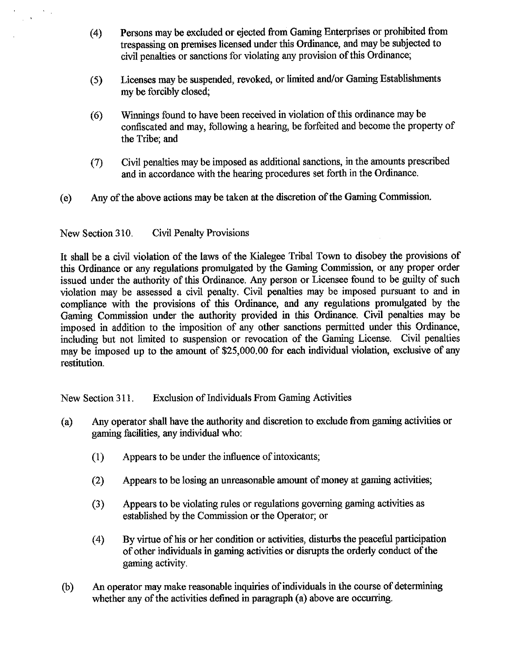- (4) Persons may be excluded or ejected from Gaming Enterprises or prohibited from trespassing on premises licensed under this Ordinance, and may be subjected to civil penalties or sanctions for violating any provision of this Ordinance;
- (5) Licenses may be suspended, revoked, or limited and/or Gaming Establishments my be forcibly closed;
- *(6)* Winnings found to have been received in violation of this ordinance may be confiscated and may, following a hearing, be forfeited and become the property of the Tribe; and
- **(7)** Civil penalties may be imposed as additional sanctions, in the amounts prescribed and in accordance with the hearing procedures set forth in the Ordinance.
- (e) Any of the above actions may be taken at the discretion of the Gaming Commission.

New Section **3** 10. Civil Penalty Provisions

 $\hat{\mathbf{v}}$ 

It shall be a civil violation of the laws of the Kialegee Tribal Town to disobey the provisions of this Ordinance or any regulations promulgated by the Gaming Commission, or any proper order issued under the authority of this Ordinance. Any person or Licensee found to be guilty of such violation may be assessed a civil penalty. Civil penalties may be imposed pursuant to and in compliance with the provisions of this Ordinance, and any regulations promulgated by the Gaming Commission under the authority provided in this Ordinance. Civil penalties may be imposed in addition to the imposition of any other sanctions permitted under this Ordinance, including but not limited to suspension or revocation of the Gaming License. Civil penalties may be imposed up to the amount of \$25,000.00 for each individual violation, exclusive of any restitution.

New Section 311. Exclusion of Individuals From Gaming Activities

- (a) Any operator shall have the authority and discretion to exclude from gaming activities or gaming facilities, any individual who:
	- (1) Appears to be under the influence of intoxicants;
	- (2) Appears to be losing an unreasonable amount of money at gaming activities;
	- **(3)** Appears to be violating rules or regulations governing gaming activities as established by the Commission or the Operator; or
	- (4) By virtue of his or her condition or activities, disturbs the peaceful participation of other individuals in gaming activities or disrupts the orderly conduct of the gaming activity.
- (b) An operator may make reasonable inquiries of individuals in the course of determining whether any of the activities defined in paragraph (a) above are occurring.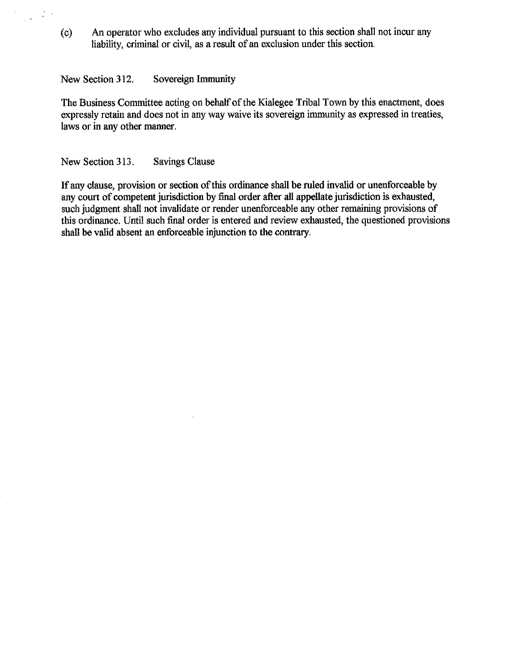(c) An operator who excludes any individual pursuant to this section shall not incur any liability, criminal or civil, as a result of an exclusion under this section.

### New Section 312. Sovereign Immunity

 $\frac{1}{2}\left( \frac{1}{2}+\frac{1}{2}\right) ^{2}$ 

The Business Committee acting on behalf of the Kialegee Tribal Town by this enactment, does expressly retain and does not in any way waive its sovereign immunity as expressed in treaties, laws or in any other manner.

### New Section 313. Savings Clause

If any clause, provision or section of this ordinance shall be ruled invalid or unenforceable by any court of competent jurisdiction by final order after all appellate jurisdiction is exhausted, such judgment shall not invalidate or render unenforceable any other remaining provisions of this ordinance. Until such final order is entered and review exhausted, the questioned provisions shall be valid absent an enforceable injunction to the contrary.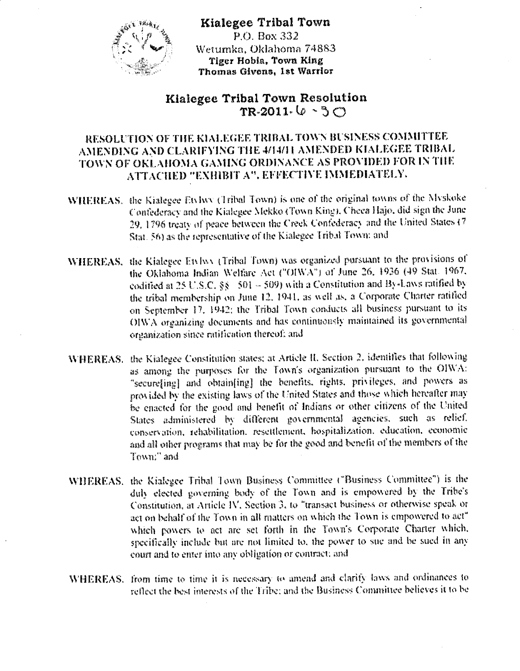

Kialegee Tribal Town  $P$  O. Box 332 Wetumka, Oklahoma 74883 Tiger Hobia, Town King Thomas Givens, 1st Warrior

# Kialegee Tribal Town Resolution  $TR-2011.$   $(0.5C)$

# RESOLUTION OF THE KIALEGEE TRIBAL TOWN BUSINESS COMMITTEE AMENDING AND CLARIFYING THE 4/14/11 AMENDED KIALEGEE TRIBAL TOWN OF OKLAHOMA GAMING ORDINANCE AS PROVIDED FOR IN THE АТТАСНЕД "EXHIBIT A", EFFECTIVE IMMEDIATELY.

- WHEREAS. the Kialegee Etylwy (Tribal Town) is one of the original towns of the Myskoke Confederacy and the Kialegee Mekko (Town King), Cheea Hajo, did sign the June 29, 1796 treaty of peace between the Creek Confederacy and the United States (7 Stat. 56) as the representative of the Kialegee Tribal Town: and
- WHEREAS, the Kialegee Etvlwy (Tribal Town) was organized pursuant to the provisions of the Oklahoma Indian Welfare Act ("OIWA") of June 26, 1936 (49 Stat. 1967, codified at 25 U.S.C. §§ 501 - 509) with a Constitution and By-Laws ratified by the tribal membership on June 12, 1941, as well as, a Corporate Charter ratified on September 17, 1942; the Tribal Town conducts all business pursuant to its OIWA organizing documents and has continuously maintained its governmental organization since ratification thereof; and
- WHEREAS. the Kialegee Constitution states; at Article II, Section 2, identifies that following as among the purposes for the Town's organization pursuant to the OIWA: "secure[ing] and obtain[ing] the benefits, rights, privileges, and powers as provided by the existing laws of the United States and those which hereafter may be enacted for the good and benefit of Indians or other citizens of the United States administered by different governmental agencies, such as relief. conservation, rehabilitation, resettlement, hospitalization, education, economic and all other programs that may be for the good and benefit of the members of the Town;" and
- WHEREAS, the Kialegee Tribal Town Business Committee ("Business Committee") is the duly elected governing body of the Town and is empowered by the Tribe's Constitution, at Article IV. Section 3, to "transact business or otherwise speak or act on behalf of the Town in all matters on which the Town is empowered to act" which powers to act are set forth in the Town's Corporate Charter which, specifically include but are not limited to, the power to sue and be sued in any court and to enter into any obligation or contract; and
- WHEREAS. from time to time it is necessary to amend and clarify laws and ordinances to reflect the best interests of the Tribe; and the Business Committee believes it to be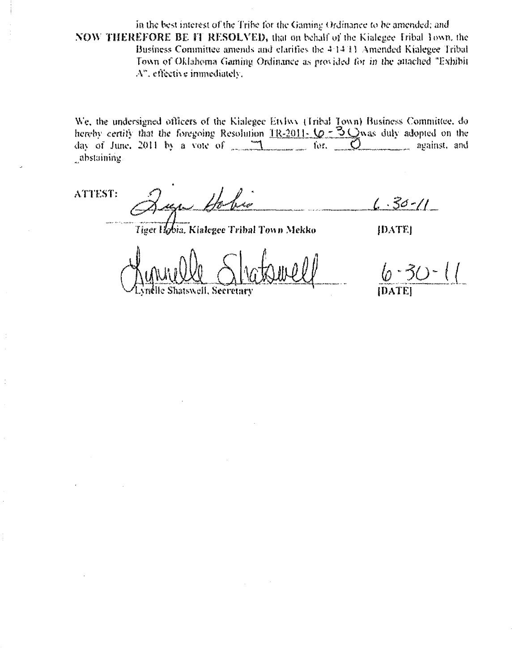in the best interest of the Tribe for the Gaming Ordinance to be amended; and NOW THEREFORE BE IT RESOLVED, that on behalf of the Kialegee Tribal Town, the Business Committee amends and clarifies the 4:14:11 Amended Kialegee Tribal Town of Oklahoma Gaming Ordinance as provided for in the attached "Exhibit A", effective immediately,

We, the undersigned officers of the Kialegee Etvlwy (Tribal Town) Business Committee, dohereby certify that the foregoing Resolution  $1R-2011-10 = 3Q$  was duly adopted on the day of June, 2011 by a vote of 11 for. 0 against, and abstaining.

ATTEST:

 $6.30 - 11$ י<br>1. יוליה ל

Tiger Hobia, Kialegee Tribal Town Mekko

**JDATEI** 

 $3/2 - (1)$ **IDATEI** 

*<u>Vnelle Shatswell, Secretary</u>*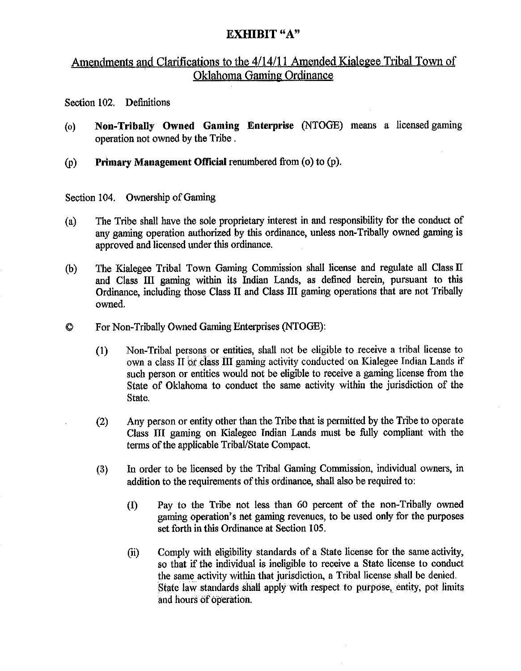# **EXHIBIT "A"**

# Amendments and Clarifications to the 4/14/11 Amended Kialegee Tribal Town of Oklahoma Gaming Ordinance

Section **102.** Definitions

- (o) Non-Tribally Owned Gaming Enterprise (NTOGE) means a licensedgaming operation not owned by the Tribe .
- (p) Primary Management Official renumbered from (o) to (p).

Section 104. Ownership of Gaming

- (a) The Tribe shall have the sole proprietary interest in and responsibility for the conduct of any gaming operation authorized by this ordinance, unless non-Tribally owned gaming is approved and licensed under this ordinance.
- (b) The Kialegee Tribal Town Gaming Commission shall license and regulate all Class **I1**  and Class **III** gaming within its Indian Lands, as defined herein, pursuant to this Ordinance, including those Class I1 and Class I11 gaming operations that are not Tribally owned.
- Q For Won-Tribally Owned Gaming Enterprises (NTOGE):
	- **(1)** Non-Tribal persons or entities, shall not be eligible to receive a tribal license to own a class **TI or** class m gaming activity conducted on Kialegee Indian Lands if such person or entities would not be eligible to receive a gaming license from the State of Oklahoma to conduct the same activity within the jurisdiction of the State.
	- (2) Any person or entity other than the Tribe that is permitted by the Tribe to operate Class III gaming on Kialegee Indian Lands must be fully compliant with the terms of the applicable Tribal/State Compact.
	- **(3)** In order to be licensed by the Tribal Gaming Commission, individual owners, in addition to the requirements of this ordinance, shall also be required to:
		- **(I)** Pay to the Tribe not less than 60 percent of the non-Tribally owned gaming operation's net gaming revenues, to be used only for the purposes set forth in this Ordinance at Section 105.
		- (ii) Comply with eligibility standards of a State license for the same activity, so that if the individual is ineligible to receive a State license to conduct the same activity within that jurisdiction, a Tribal license shall be denied. State law standards shall apply with respect to purpose, entity, pot **limits**  and hours of operation.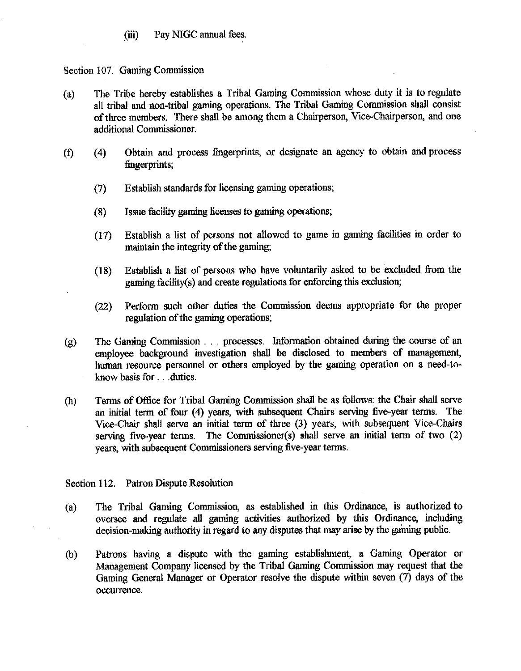(iii) Pay NIGC annual fees.

### Section 107. Gaming Commission

- (a) The Tribe hereby establishes a Tribal Gaming Commission whose duty it is to regulate all tribal and non-tribal gaming operations. The Tribal Gaming Commission shall consist of three members. There shall be among them a Chairperson, Vice-Chairperson, and one additional Commissioner.
- **(f)** (4) Obtain and process fingerprints, or designate an agency to obtain and process fingerprints;
	- (7) Establish standards for licensing gaming operations;
	- (8) Issue facility gaming licenses to gaming operations;
	- (17) Establish a list of persons not allowed to game in gaming facilities in order to maintain the integrity of the gaming;
	- (18) Establish a list of persons who have voluntarily asked to be excluded from the gaming facility(s) and create regulations for enforcing this exclusion;
	- (22) Perform such other duties the Commission deems appropriate for the proper regulation of the gaming operations;
- **(g)** The Gming Commission . . . processes. Information obtained during the course of **an**  employee background investigation shall be disclosed to members of management, human resource personnel or others employed by the gaming operation on a need-toknow basis for . . .duties.
- (h) Terms of Office for Tribal Gaming Commission shall be as follows: the Chair shall serve an initial term of four (4) years, with subsequent Chairs serving five-year terms. The Vice-Chair shall serve an initial term of three (3) years, with subsequent Vice-Chairs serving five-year terms. The Commissioner(s) shall serve an initial term of two (2) years, with subsequent Commissioners serving five-year terms.

### Section 112. Patron Dispute Resolution

- (a) The Tribal Gaming Commission, as established in this Ordinance, is authorized to oversee and regulate all gaming activities authorized by this Ordinance, including decision-making authority in regard to any disputes that may arise by the gaining public.
- (b) Patrons having a dispute with the gaming establishment, a Gaming Operator or Management Company licensed by the Tribal Gaming Commission may request that the Gaming General Manager or Operator resolve the dispute within seven (7) days of the occurrence.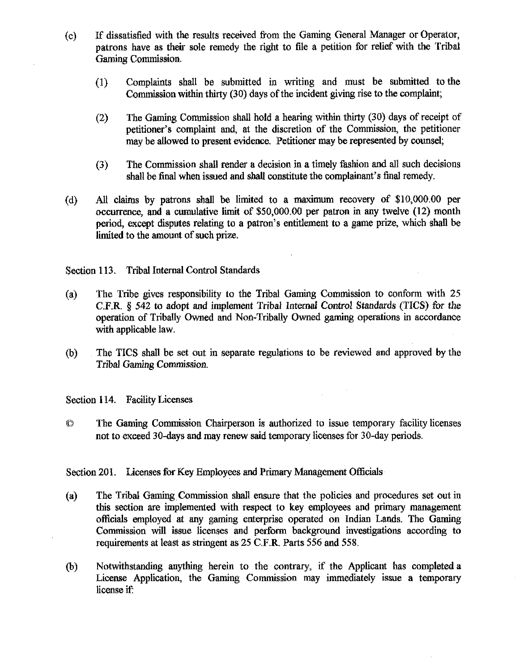- (c) If dissatisfied with the results received from the Gaming General Manager or Operator, patrons have as their sole remedy the right to file a petition for relief with the Tribal Gaming Commission.
	- (1) Complaints shall be submitted in writing and must be submitted to the Commission within thirty (30) days of the incident giving **rise** to the complaint;
	- (2) The Gaming Commission shall hold a hearing within thirty (30) days of receipt of petitioner's complaint and, at the discretion of the Commission, the petitioner may be allowed to present evidence. Petitioner may be represented by **counsel;**
	- (3) The Commission shall render a decision in a timely fashion and all such decisions shall be final when issued and shall constitute the complainant's final remedy.
- (d) All claims by patrons shall be limited to a maximum recovery of \$10,000.00 per occurrence, and a cumulative **Iimit** of \$50,000.00 per patron in **any** twelve (12) month period, except disputes relating to a patron's entitlement to a game prize, which shall be limited to the amount of such prize.

Section 113. Tribal Internal Control Standards

- (a) The Tribe gives responsibility to the Tribal Gaming Commission to conform with 25 C.F.R.  $\delta$  542 to adopt and implement Tribal Internal Control Standards (TICS) for the operation of Tribally Owned and Non-Tribally Owned gaming operations in accordance with applicable law.
- **(b)** The TICS shall be set out in separate regulations to be reviewed and approved by the Tribal Gaming Commission.

Section 114. Facility Licenses

**O** The Gaming Commission Chairperson is authorized to issue temporary facility licenses not to exceed 30-days and may renew said temporary licenses for 30-day periods.

### Section 201. Licenses for Key Employees and Primary Management Officials

- (a) The Tribal Gaming Commission shall ensure that the policies and procedures set out in this section are implemented with respect to key employees and primary management officials employed at any gaming enterprise operated on Indian Lands. The Gaming Commission will issue licenses and perForm background investigations according to requirements at least as stringent as 25 C.F.R. Parts 556 and 558.
- (b) Notwithstanding anything herein to the contrary, if the Applicant has completed a License Application, the Gaming Commission may immediately issue a temporary license if: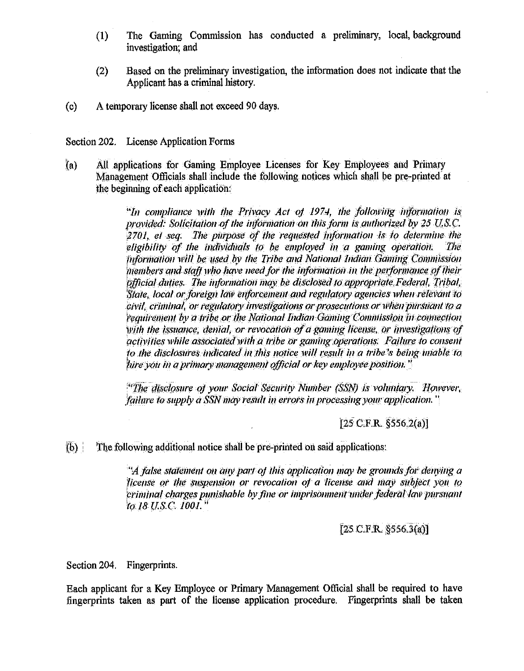- The Gaming Commission has conducted a preliminary, local background  $(1)$ investigation, and
- $(2)$ Based on the preliminary investigation, the information does not indicate that the Applicant has a criminal history.
- $(c)$ A temporary license shall not exceed 90 days.

## Section 202. License Application Forms

 $(a)$ All applications for Gaming Employee Licenses for Key Employees and Primary Management Officials shall include the following notices which shall be pre-printed at the beginning of each application:

> "In compliance with the Privacy Act of 1974, the following information is provided: Solicitation of the information on this form is authorized by 25 U.S.C.  $2701$ , et seq. The purpose of the requested information is to determine the eligibility of the individuals to be employed in a gaming operation. The Information will be used by the Tribe and National Indian Gaming Commission members and staff who have need for the information in the performance of their official duties. The information may be disclosed to appropriate Federal, Tribal, State. local or foreign law enforcement and regulatory agencies when relevant to civil, criminal, or regulatory investigations or prosecutions or when pursuant to a requirement by a tribe or the National Indian Gaming Commission in connection with the issuance, denial, or revocation of a gaming license, or investigations of activities while associated with a tribe or gaming operations. Failure to consent to the disclosures indicated in this notice will result in a tribe's being unable to hire you in a primary management official or key employee position."

> "The disclosure of your Social Security Number (SSN) is voluntary. However, failure to supply a SSN may result in errors in processing your application."

> > $[25 \text{ C.F.R. } $556.2(a)]$

 $(b)$ The following additional notice shall be pre-printed on said applications:

> $A$  false statement on any part of this application may be grounds for denying a license or the suspension or revocation of a license and may subject you to eriminal charges punishable by fine or imprisonment under federal law pursuant to 18 U.S.C. 1001."

> > $[25 \text{ C.F.R. } $556.3(a)]$

Section 204. Fingerprints.

Each applicant for a Key Employee or Primary Management Official shall be required to have fingerprints taken as part of the license application procedure. Fingerprints shall be taken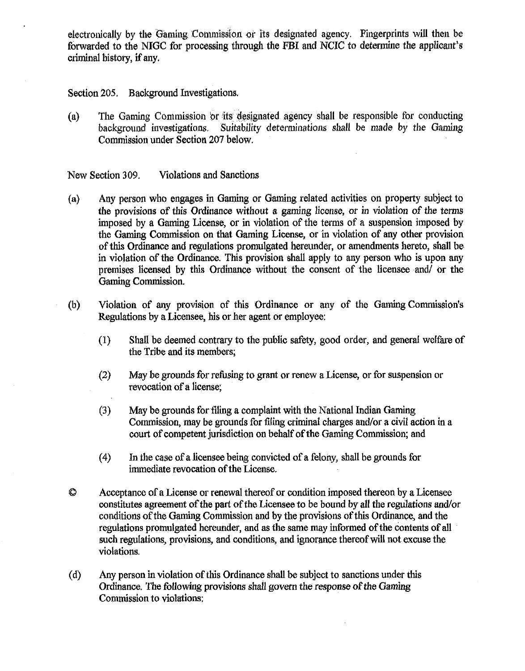electronically by the Gaming Commission or its designated agency. Fingerprints will then be forwarded to the NIGC for processing through the **FBI** and NCIC to determine the applicant's criminal history, if any.

Section **205.** Background Investigations.

(a) The Gaming Commission or its designated agency shall be responsible for conducting background investigations. Suitability determinations shall be made by the Gaming Suitability determinations shall be made by the Gaming Commission under Section **207** below.

New Section **309.** Violations and Sanctions

- **(a)** Any person who engages in Gaming or Gaming related activities on property subject to the provisions of this Ordinance without a gaming license, or in violation of the terms imposed by a Gaming License, or in violation of the terms of a suspension imposed by the Gaming Commission on that Gaming License, or in violation of any other provision of this Ordinance and regulations promulgated hereunder, or amendments hereto, shall be in violation of the Ordinance. This provision shall apply to any person who is upon any premises licensed by this Ordinance without the consent of the licensee and/ or the Gaming Commission.
- (b) Violation of any provision of this Ordinance or any of the Gaming Conunission's Regulations by a Licensee, his or her agent or employee:
	- **(1)** Shall be deemed contrary to the public safety, good order, and general welfare of the Tribe and its members;
	- (2) May be grounds for refbsing to grmt or renew a License, or for suspension or revocation of a license;
	- **(3)** May be grounds for filing a complaint with the National Indian Gaming Commission, may be grounds for filing criminal charges and/or a civil action in a court of competent jurisdiction on behalf of the Gaming Commission; and
	- (4) In the case of a licensee being convicted of a felony, shall be grounds for immediate revocation of the License.
- 0 Acce~tance of a License or renewal thereof or condition imoosed thereon **by** a Licensee constitutes agreement of the part of the Licensee to be bound by all the regulations and/or conditions of the Gaming Commission and by the provisions of this Ordinance, and the regulations promulgated hereunder, and as the same may informed of the contents of all such regulations, provisions, and conditions, and ignorance thereof will not excuse the violations.
- (d) **Any** person in violation of this Ordinance shall be subject to sanctions under this Ordinance. The following provisions shall govern the response of the Gaming Commission to violations: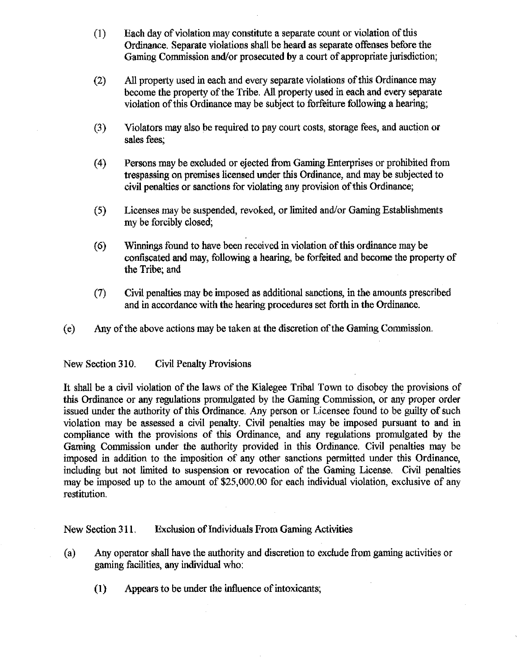- (I) Each day of violation may constitute a separate count or violation of this Ordinance. Separate violations shall be heard as separate offenses before the Gaming Commission and/or prosecuted by a court of appropriate jurisdiction;
- (2) All property used in each and every separate violations of this Ordinance may become the property of the Tribe. All property used in each and every separate violation of this Ordinance may be subject to forfeiture following a hearing;
- (3) Violators may also be required to pay court costs, storage fees, and auction or sales fees;
- **(4)** Persons may be excluded or ejected from Gaming Enterprises or prohibited ffom trespassing on premises licensed under this Ordinance, and may be subjected to civil penalties or sanctions for violating any provision of this Ordinance;
- **(5)** Licenses may be suspended, revoked, or limited andlor Gaming Establishments my be forcibly closed;
- **(6)** Winnings found to have been received in violation of this ordinance may be confiscated and may, following a hearing, be forfeited and become the property of the Tribe; and
- **(7)** Civil penalties may be imposed as additional sanctions, in the amounts prescribed and in accordance with the hearing procedures set forth in the Ordinance.
- (e) Any of the above actions may be taken at the discretion of the Gaming Commission.

New Section **3** 10. Civil Penalty Provisions

It shall be a civil violation of the laws of the Kialegee Tribal Town to disobey the provisions of this Ordinance or any regulations promulgated by the Gaming Commission, or any proper order issued under the authority of this Ordinance. Any person or Licensee found to be guilty of such violation may be assessed a civil penalty. Civil penalties may bc imposed pursuant to and in compliance with the provisions of this Ordinance, and any regulations promulgated by the Gaming Commission under the authority provided in this Ordinance. Civil penalties may be imposed in addition to the imposition of any other sanctions permitted under this Ordinance, including but not limited to suspension or revocation of the Gaming License. Civil penalties may be imposed up to the amount of \$25,000.00 for each individual violation, exclusive of any restitution.

New Section 3 **11.** Exclusion of Individuals From Gaming Activities

- (a) Any operator shall have the authority and discretion to exclude from gaming activities or gaming facilities, any individual who:
	- (1) Appears to be under the influence of intoxicants;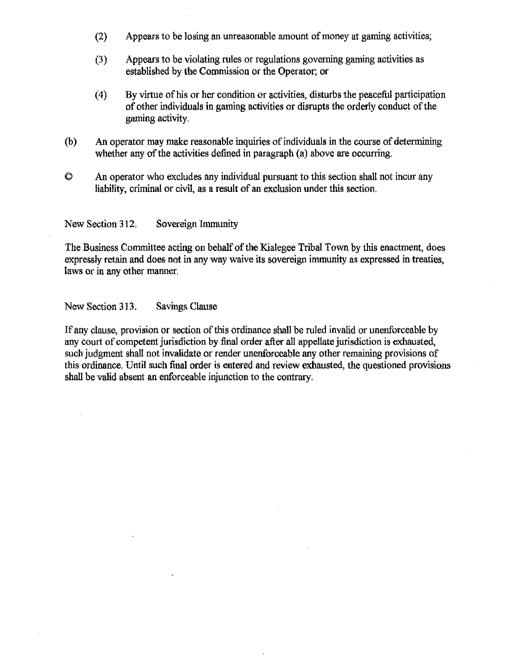- (2) Appears to be losing an unreasonable amount of money at gaming activities;
- (3) Appears to be violating rules or regulations governing gaming activities as established by the Commission or the Operator; or
- **(4)** By virtue of his or her condition or activities, disturbs the peacehl participation of other individuals in gaming activities or disrupts the orderly conduct of the gaming activity.
- (b) **An** operator may make reasonable inquiries of individuals in the course of determining whether any of the activities defined in paragraph (a) above are occurring.
- 8 **An** operator who excludes any individual pursuant to this section shall not incur any liability, criminal or civil, as a result of an exclusion under this section.

New Section 312. Sovereign Immunity

The Business Committee acting on behalf of the Kialegee Tribal Town by this enactment, does expressly retain and does not in any way waive its sovereign immunity as expressed in treaties, Iaws or in any other manner.

New Section 313. Savings Clause

If any clause, provision or section of this ordinance **shall** be ruled invalid or unenforceable by any court of competent jurisdiction by final order after all appellate jurisdiction is exhausted, such judgment shall not invalidate or render unenforceable any other remaining provisions of this ordinance. Until such final order is entered and review exhausted, the questioned provisions shall be valid absent an enforceable injunction to the contrary.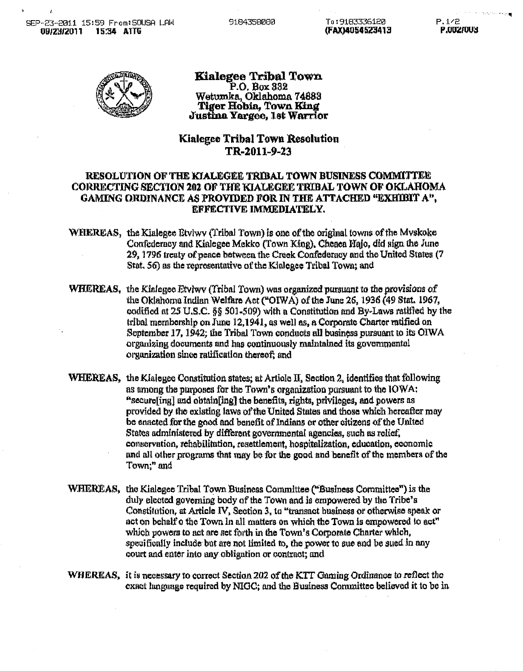9184358080



#### Kialegee Tribal Town P.O. Box 332 Wetumka, Oklahoma 74883 Tiger Hobia. Town King Justina Yargee, 1st Warrior

## Kialegee Tribal Town Resolution TR-2011-9-23

### **RESOLUTION OF THE KIALEGEE TRIBAL TOWN BUSINESS COMMITTEE** CORRECTING SECTION 202 OF THE KIALEGEE TRIBAL TOWN OF OKLAHOMA GAMING ORDINANCE AS PROVIDED FOR IN THE ATTACHED "EXHIBIT A", EFFECTIVE IMMEDIATELY.

- WHEREAS, the Kinlegee Etviwy (Tribal Town) is one of the original towns of the Myskoke Confederacy and Kialegee Mekko (Town King), Cheaea Hajo, did sign the June 29, 1796 treaty of peace between the Creek Confederacy and the United States (7) Stat, 56) as the representative of the Kialegee Tribal Town; and
- **WHEREAS**, the Kialegee Etylwy (Tribal Town) was organized pursuant to the provisions of the Oklahoma Indian Welfare Act ("OIWA) of the June 26, 1936 (49 Stat. 1967, codified at 25 U.S.C. §§ 501-509) with a Constitution and By-Laws ratified by the tribal membership on June 12,1941, as well as, a Corporate Charter ratified on September 17, 1942; the Tribal Town conducts all business pursuant to its OIWA organizing documents and has continuously maintained its governmental organization since ratification thereof; and
- **WHEREAS**, the Kialegee Constitution states; at Article II, Section 2, identifies that following as among the purposes for the Town's organization pursuant to the IOWA: "secure[ing] and obtain[ing] the benefits, rights, privileges, and powers as provided by the existing laws of the United States and those which hereafter may be enacted for the good and benefit of Indians or other citizens of the United States administered by different governmental agencies, such as relief, conservation, rehabilitation, resettlement, hospitalization, education, economic and all other programs that may be for the good and benefit of the members of the Town;" and
- WHEREAS, the Kialegee Tribal Town Business Committee ("Business Committee") is the duly elected governing body of the Town and is empowered by the Tribe's Constitution, at Article IV, Section 3, to "transact business or otherwise speak or act on behalf o the Town in all matters on which the Town is empowered to act" which powers to act are set forth in the Town's Corporate Charter which, specifically include but are not limited to, the power to sue and be sued in any court and enter into any obligation or contract; and
- WHEREAS, it is necessary to correct Section 202 of the KTT Gaming Ordinance to reflect the exact language required by NIGC; and the Business Committee believed it to be in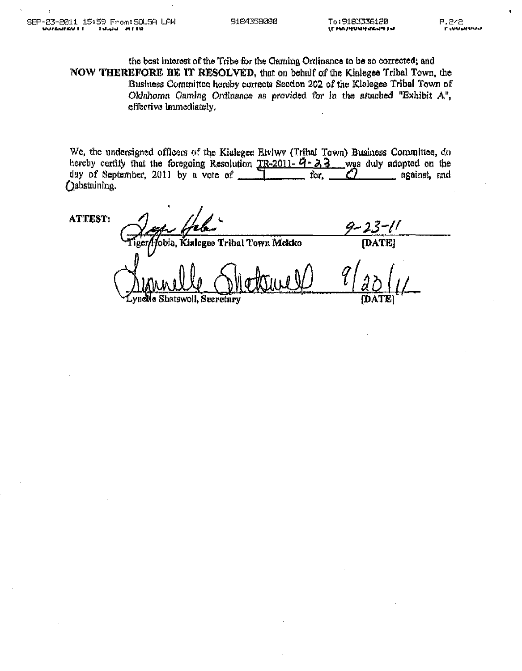the best interest of the Tribe for the Garning Ordinance to be so corrected; and NOW THEREFORE BE IT RESOLVED, that on behalf of the Kialegee Tribal Town, the Business Committee hereby corrects Section 202 of the Kialegee Tribal Town of Oklahoma Gaming Ordinance as provided for in the attached "Exhibit A". effective immediately.

We, the undersigned officers of the Kialegee Etvlwy (Tribal Town) Business Committee, do hereby certify that the foregoing Resolution TR-2011- $\vec{q}$ - $\lambda$ 3 was duly adopted on the day of September, 2011 by a vote of \_\_\_\_ for, A against, and (ebstaining.

**ATTEST:** -[[ obia, Kialegee Tribal Town Mekko [DATE] vnelle Shatswell, Secretary **IDATE**